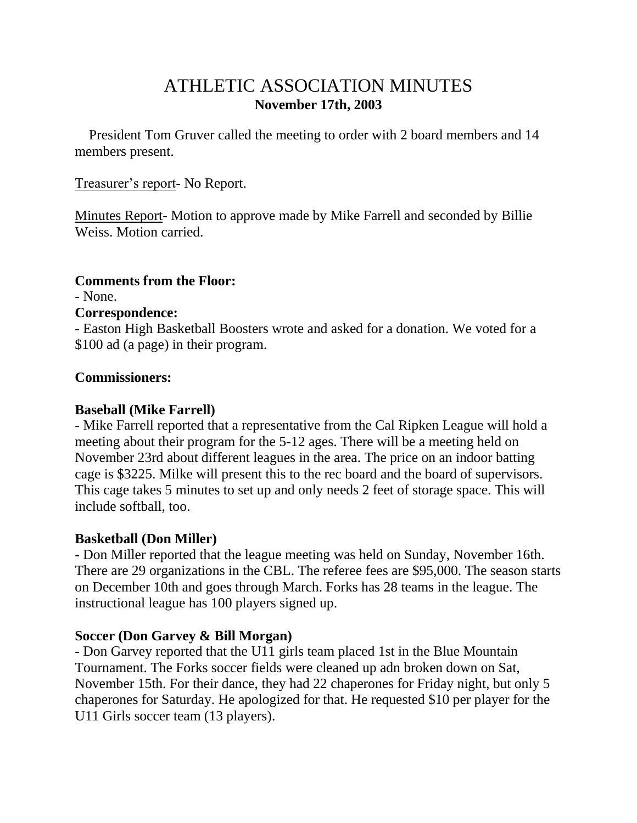# ATHLETIC ASSOCIATION MINUTES **November 17th, 2003**

 President Tom Gruver called the meeting to order with 2 board members and 14 members present.

Treasurer's report- No Report.

Minutes Report- Motion to approve made by Mike Farrell and seconded by Billie Weiss. Motion carried.

# **Comments from the Floor:**

- None.

## **Correspondence:**

- Easton High Basketball Boosters wrote and asked for a donation. We voted for a \$100 ad (a page) in their program.

# **Commissioners:**

## **Baseball (Mike Farrell)**

- Mike Farrell reported that a representative from the Cal Ripken League will hold a meeting about their program for the 5-12 ages. There will be a meeting held on November 23rd about different leagues in the area. The price on an indoor batting cage is \$3225. Milke will present this to the rec board and the board of supervisors. This cage takes 5 minutes to set up and only needs 2 feet of storage space. This will include softball, too.

# **Basketball (Don Miller)**

- Don Miller reported that the league meeting was held on Sunday, November 16th. There are 29 organizations in the CBL. The referee fees are \$95,000. The season starts on December 10th and goes through March. Forks has 28 teams in the league. The instructional league has 100 players signed up.

# **Soccer (Don Garvey & Bill Morgan)**

- Don Garvey reported that the U11 girls team placed 1st in the Blue Mountain Tournament. The Forks soccer fields were cleaned up adn broken down on Sat, November 15th. For their dance, they had 22 chaperones for Friday night, but only 5 chaperones for Saturday. He apologized for that. He requested \$10 per player for the U11 Girls soccer team (13 players).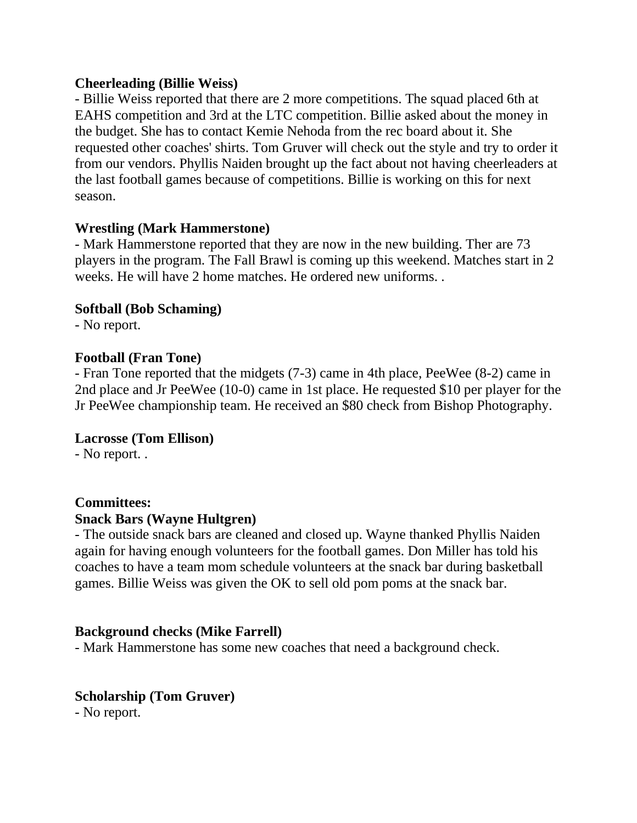#### **Cheerleading (Billie Weiss)**

- Billie Weiss reported that there are 2 more competitions. The squad placed 6th at EAHS competition and 3rd at the LTC competition. Billie asked about the money in the budget. She has to contact Kemie Nehoda from the rec board about it. She requested other coaches' shirts. Tom Gruver will check out the style and try to order it from our vendors. Phyllis Naiden brought up the fact about not having cheerleaders at the last football games because of competitions. Billie is working on this for next season.

## **Wrestling (Mark Hammerstone)**

- Mark Hammerstone reported that they are now in the new building. Ther are 73 players in the program. The Fall Brawl is coming up this weekend. Matches start in 2 weeks. He will have 2 home matches. He ordered new uniforms. .

## **Softball (Bob Schaming)**

- No report.

## **Football (Fran Tone)**

- Fran Tone reported that the midgets (7-3) came in 4th place, PeeWee (8-2) came in 2nd place and Jr PeeWee (10-0) came in 1st place. He requested \$10 per player for the Jr PeeWee championship team. He received an \$80 check from Bishop Photography.

# **Lacrosse (Tom Ellison)**

- No report. .

#### **Committees:**

#### **Snack Bars (Wayne Hultgren)**

- The outside snack bars are cleaned and closed up. Wayne thanked Phyllis Naiden again for having enough volunteers for the football games. Don Miller has told his coaches to have a team mom schedule volunteers at the snack bar during basketball games. Billie Weiss was given the OK to sell old pom poms at the snack bar.

# **Background checks (Mike Farrell)**

- Mark Hammerstone has some new coaches that need a background check.

# **Scholarship (Tom Gruver)**

- No report.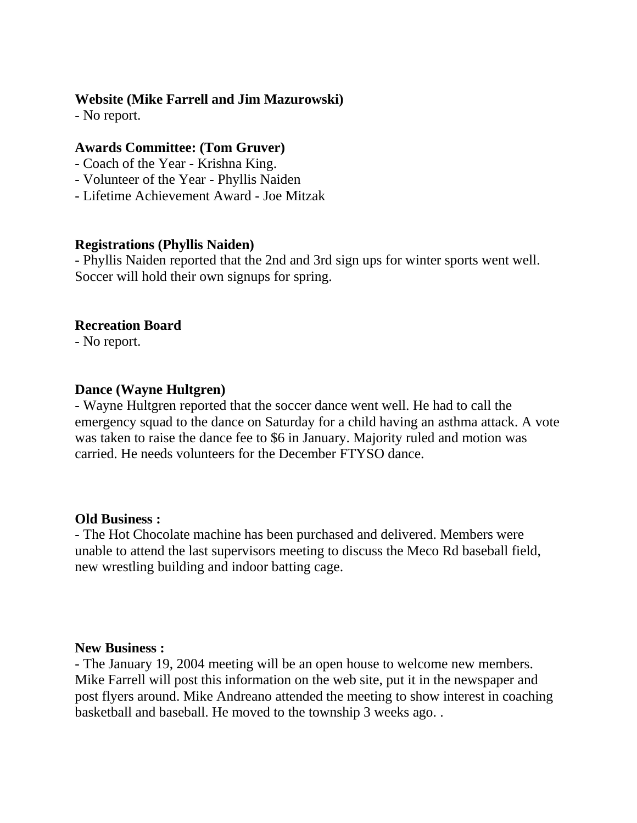#### **Website (Mike Farrell and Jim Mazurowski)**

- No report.

# **Awards Committee: (Tom Gruver)**

- Coach of the Year Krishna King.
- Volunteer of the Year Phyllis Naiden
- Lifetime Achievement Award Joe Mitzak

## **Registrations (Phyllis Naiden)**

- Phyllis Naiden reported that the 2nd and 3rd sign ups for winter sports went well. Soccer will hold their own signups for spring.

# **Recreation Board**

- No report.

# **Dance (Wayne Hultgren)**

- Wayne Hultgren reported that the soccer dance went well. He had to call the emergency squad to the dance on Saturday for a child having an asthma attack. A vote was taken to raise the dance fee to \$6 in January. Majority ruled and motion was carried. He needs volunteers for the December FTYSO dance.

# **Old Business :**

- The Hot Chocolate machine has been purchased and delivered. Members were unable to attend the last supervisors meeting to discuss the Meco Rd baseball field, new wrestling building and indoor batting cage.

#### **New Business :**

- The January 19, 2004 meeting will be an open house to welcome new members. Mike Farrell will post this information on the web site, put it in the newspaper and post flyers around. Mike Andreano attended the meeting to show interest in coaching basketball and baseball. He moved to the township 3 weeks ago. .